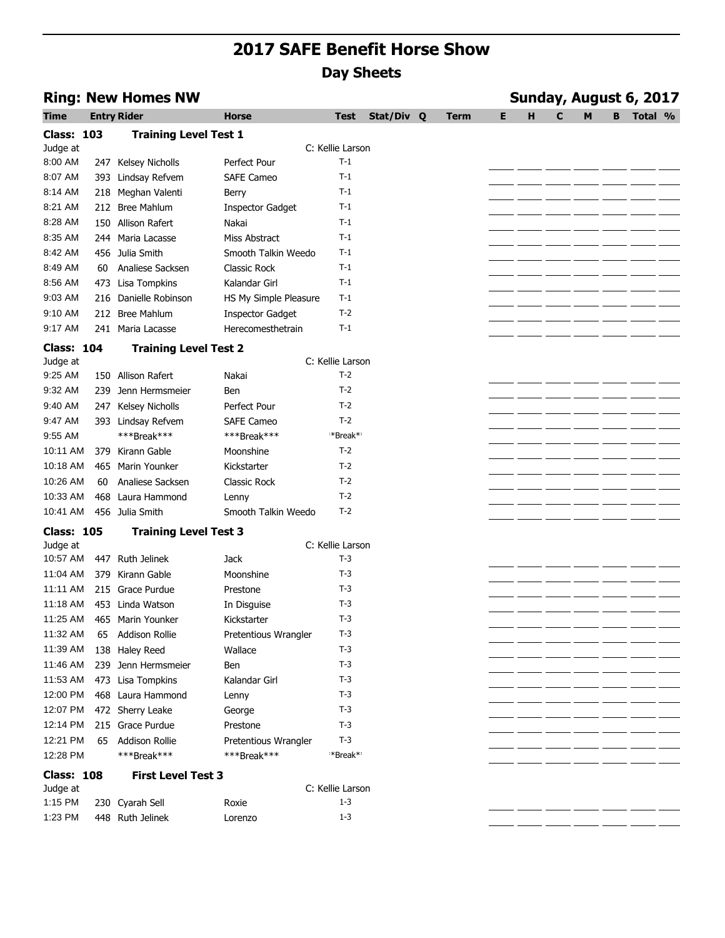|                   |    | <b>Ring: New Homes NW</b>    |                         |                      | Sunday, August 6, 2017 |             |   |   |   |   |   |         |  |
|-------------------|----|------------------------------|-------------------------|----------------------|------------------------|-------------|---|---|---|---|---|---------|--|
| Time              |    | <b>Entry Rider</b>           | <b>Horse</b>            | Test                 | Stat/Div Q             | <b>Term</b> | Е | н | C | M | в | Total % |  |
| <b>Class: 103</b> |    | <b>Training Level Test 1</b> |                         |                      |                        |             |   |   |   |   |   |         |  |
| Judge at          |    |                              |                         | C: Kellie Larson     |                        |             |   |   |   |   |   |         |  |
| 8:00 AM           |    | 247 Kelsey Nicholls          | Perfect Pour            | $T-1$                |                        |             |   |   |   |   |   |         |  |
| 8:07 AM           |    | 393 Lindsay Refvem           | <b>SAFE Cameo</b>       | $T-1$                |                        |             |   |   |   |   |   |         |  |
| 8:14 AM           |    | 218 Meghan Valenti           | Berry                   | $T-1$                |                        |             |   |   |   |   |   |         |  |
| 8:21 AM           |    | 212 Bree Mahlum              | <b>Inspector Gadget</b> | $T-1$                |                        |             |   |   |   |   |   |         |  |
| 8:28 AM           |    | 150 Allison Rafert           | Nakai                   | $T-1$                |                        |             |   |   |   |   |   |         |  |
| 8:35 AM           |    | 244 Maria Lacasse            | Miss Abstract           | $T-1$                |                        |             |   |   |   |   |   |         |  |
| 8:42 AM           |    | 456 Julia Smith              | Smooth Talkin Weedo     | $T-1$                |                        |             |   |   |   |   |   |         |  |
| 8:49 AM           | 60 | Analiese Sacksen             | Classic Rock            | $T-1$                |                        |             |   |   |   |   |   |         |  |
| 8:56 AM           |    | 473 Lisa Tompkins            | Kalandar Girl           | $T-1$                |                        |             |   |   |   |   |   |         |  |
| 9:03 AM           |    | 216 Danielle Robinson        | HS My Simple Pleasure   | $T-1$                |                        |             |   |   |   |   |   |         |  |
| 9:10 AM           |    | 212 Bree Mahlum              | <b>Inspector Gadget</b> | $T-2$                |                        |             |   |   |   |   |   |         |  |
| 9:17 AM           |    | 241 Maria Lacasse            | Herecomesthetrain       | $T-1$                |                        |             |   |   |   |   |   |         |  |
| <b>Class: 104</b> |    | <b>Training Level Test 2</b> |                         |                      |                        |             |   |   |   |   |   |         |  |
| Judge at          |    |                              |                         | C: Kellie Larson     |                        |             |   |   |   |   |   |         |  |
| 9:25 AM           |    | 150 Allison Rafert           | Nakai                   | $T-2$                |                        |             |   |   |   |   |   |         |  |
| 9:32 AM           |    | 239 Jenn Hermsmeier          | <b>Ben</b>              | $T-2$                |                        |             |   |   |   |   |   |         |  |
| 9:40 AM           |    | 247 Kelsey Nicholls          | Perfect Pour            | $T-2$                |                        |             |   |   |   |   |   |         |  |
| 9:47 AM           |    | 393 Lindsay Refvem           | <b>SAFE Cameo</b>       | $T-2$                |                        |             |   |   |   |   |   |         |  |
| 9:55 AM           |    | ***Break***                  | ***Break***             | *Break* <sup>*</sup> |                        |             |   |   |   |   |   |         |  |
| 10:11 AM          |    | 379 Kirann Gable             | Moonshine               | $T-2$                |                        |             |   |   |   |   |   |         |  |
| 10:18 AM          |    | 465 Marin Younker            | Kickstarter             | $T-2$                |                        |             |   |   |   |   |   |         |  |
| 10:26 AM          | 60 | Analiese Sacksen             | Classic Rock            | $T-2$                |                        |             |   |   |   |   |   |         |  |
| 10:33 AM          |    | 468 Laura Hammond            | Lenny                   | $T-2$                |                        |             |   |   |   |   |   |         |  |
| 10:41 AM          |    | 456 Julia Smith              | Smooth Talkin Weedo     | $T-2$                |                        |             |   |   |   |   |   |         |  |
| <b>Class: 105</b> |    | <b>Training Level Test 3</b> |                         |                      |                        |             |   |   |   |   |   |         |  |
| Judge at          |    |                              |                         | C: Kellie Larson     |                        |             |   |   |   |   |   |         |  |
| 10:57 AM          |    | 447 Ruth Jelinek             | Jack                    | $T-3$                |                        |             |   |   |   |   |   |         |  |
| 11:04 AM          |    | 379 Kirann Gable             | Moonshine               | $T-3$                |                        |             |   |   |   |   |   |         |  |
| 11:11 AM          |    | 215 Grace Purdue             | Prestone                | $T-3$                |                        |             |   |   |   |   |   |         |  |
| 11:18 AM          |    | 453 Linda Watson             | In Disguise             | $T-3$                |                        |             |   |   |   |   |   |         |  |
| 11:25 AM          |    | 465 Marin Younker            | Kickstarter             | $T-3$                |                        |             |   |   |   |   |   |         |  |
| 11:32 AM          | 65 | <b>Addison Rollie</b>        | Pretentious Wrangler    | T-3                  |                        |             |   |   |   |   |   |         |  |
| 11:39 AM          |    | 138 Haley Reed               | Wallace                 | $T-3$                |                        |             |   |   |   |   |   |         |  |
| 11:46 AM          |    | 239 Jenn Hermsmeier          | <b>Ben</b>              | $T-3$                |                        |             |   |   |   |   |   |         |  |
| 11:53 AM          |    | 473 Lisa Tompkins            | Kalandar Girl           | $T-3$                |                        |             |   |   |   |   |   |         |  |
| 12:00 PM          |    | 468 Laura Hammond            | Lenny                   | $T-3$                |                        |             |   |   |   |   |   |         |  |
| 12:07 PM          |    | 472 Sherry Leake             | George                  | $T-3$                |                        |             |   |   |   |   |   |         |  |
| 12:14 PM          |    | 215 Grace Purdue             | Prestone                | $T-3$                |                        |             |   |   |   |   |   |         |  |
| 12:21 PM          | 65 | <b>Addison Rollie</b>        | Pretentious Wrangler    | $T-3$                |                        |             |   |   |   |   |   |         |  |
| 12:28 PM          |    | ***Break***                  | ***Break***             | *Break* <sup>*</sup> |                        |             |   |   |   |   |   |         |  |
| <b>Class: 108</b> |    | <b>First Level Test 3</b>    |                         |                      |                        |             |   |   |   |   |   |         |  |
| Judge at          |    |                              |                         | C: Kellie Larson     |                        |             |   |   |   |   |   |         |  |
| 1:15 PM           |    | 230 Cyarah Sell              | Roxie                   | $1 - 3$              |                        |             |   |   |   |   |   |         |  |
| 1:23 PM           |    | 448 Ruth Jelinek             | Lorenzo                 | $1 - 3$              |                        |             |   |   |   |   |   |         |  |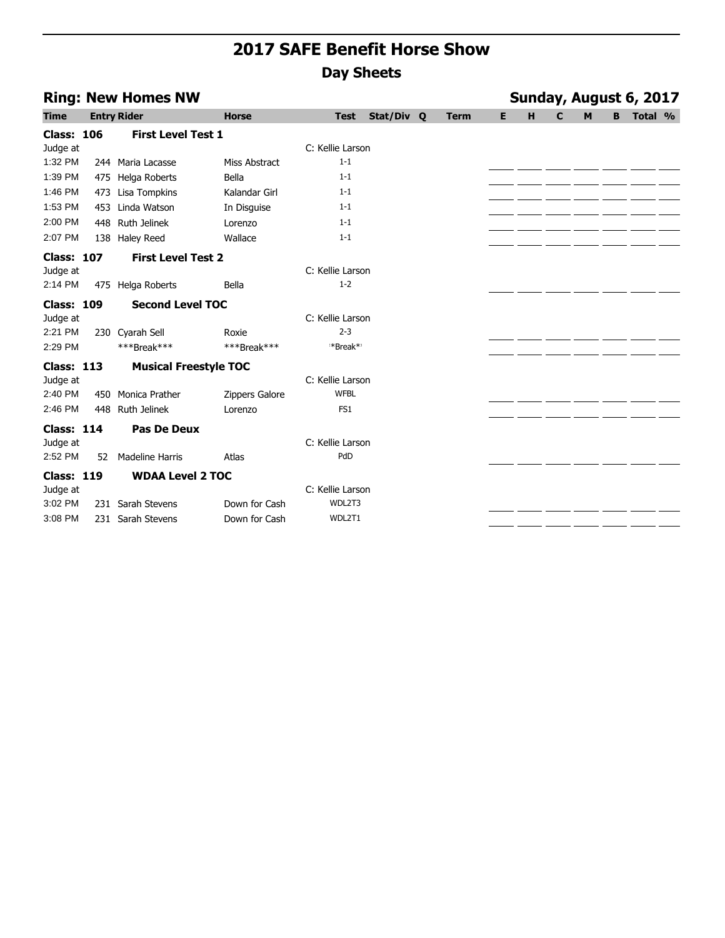| <b>Ring: New Homes NW</b> |      |                              |                |                  |            |  |             |   | Sunday, August 6, 2017 |   |   |   |         |  |  |  |
|---------------------------|------|------------------------------|----------------|------------------|------------|--|-------------|---|------------------------|---|---|---|---------|--|--|--|
| <b>Time</b>               |      | <b>Entry Rider</b>           | <b>Horse</b>   | <b>Test</b>      | Stat/Div Q |  | <b>Term</b> | E | H                      | C | M | B | Total % |  |  |  |
| <b>Class: 106</b>         |      | <b>First Level Test 1</b>    |                |                  |            |  |             |   |                        |   |   |   |         |  |  |  |
| Judge at                  |      |                              |                | C: Kellie Larson |            |  |             |   |                        |   |   |   |         |  |  |  |
| 1:32 PM                   |      | 244 Maria Lacasse            | Miss Abstract  | $1 - 1$          |            |  |             |   |                        |   |   |   |         |  |  |  |
| 1:39 PM                   |      | 475 Helga Roberts            | Bella          | $1 - 1$          |            |  |             |   |                        |   |   |   |         |  |  |  |
| 1:46 PM                   | 473  | Lisa Tompkins                | Kalandar Girl  | $1 - 1$          |            |  |             |   |                        |   |   |   |         |  |  |  |
| 1:53 PM                   | 453. | Linda Watson                 | In Disguise    | $1 - 1$          |            |  |             |   |                        |   |   |   |         |  |  |  |
| 2:00 PM                   | 448  | Ruth Jelinek                 | Lorenzo        | $1 - 1$          |            |  |             |   |                        |   |   |   |         |  |  |  |
| 2:07 PM                   |      | 138 Haley Reed               | Wallace        | $1 - 1$          |            |  |             |   |                        |   |   |   |         |  |  |  |
| <b>Class: 107</b>         |      | <b>First Level Test 2</b>    |                |                  |            |  |             |   |                        |   |   |   |         |  |  |  |
| Judge at                  |      |                              |                | C: Kellie Larson |            |  |             |   |                        |   |   |   |         |  |  |  |
| 2:14 PM                   |      | 475 Helga Roberts            | Bella          | $1 - 2$          |            |  |             |   |                        |   |   |   |         |  |  |  |
| <b>Class: 109</b>         |      | <b>Second Level TOC</b>      |                |                  |            |  |             |   |                        |   |   |   |         |  |  |  |
| Judge at                  |      |                              |                | C: Kellie Larson |            |  |             |   |                        |   |   |   |         |  |  |  |
| 2:21 PM                   |      | 230 Cyarah Sell              | Roxie          | $2 - 3$          |            |  |             |   |                        |   |   |   |         |  |  |  |
| 2:29 PM                   |      | ***Break***                  | ***Break***    | *Break*          |            |  |             |   |                        |   |   |   |         |  |  |  |
| <b>Class: 113</b>         |      | <b>Musical Freestyle TOC</b> |                |                  |            |  |             |   |                        |   |   |   |         |  |  |  |
| Judge at                  |      |                              |                | C: Kellie Larson |            |  |             |   |                        |   |   |   |         |  |  |  |
| 2:40 PM                   | 450  | Monica Prather               | Zippers Galore | <b>WFBL</b>      |            |  |             |   |                        |   |   |   |         |  |  |  |
| 2:46 PM                   | 448  | <b>Ruth Jelinek</b>          | Lorenzo        | FS1              |            |  |             |   |                        |   |   |   |         |  |  |  |
| <b>Class: 114</b>         |      | Pas De Deux                  |                |                  |            |  |             |   |                        |   |   |   |         |  |  |  |
| Judge at                  |      |                              |                | C: Kellie Larson |            |  |             |   |                        |   |   |   |         |  |  |  |
| 2:52 PM                   | 52   | <b>Madeline Harris</b>       | Atlas          | PdD              |            |  |             |   |                        |   |   |   |         |  |  |  |
| <b>Class: 119</b>         |      | <b>WDAA Level 2 TOC</b>      |                |                  |            |  |             |   |                        |   |   |   |         |  |  |  |
| Judge at                  |      |                              |                | C: Kellie Larson |            |  |             |   |                        |   |   |   |         |  |  |  |
| 3:02 PM                   | 231  | Sarah Stevens                | Down for Cash  | WDL2T3           |            |  |             |   |                        |   |   |   |         |  |  |  |
| 3:08 PM                   |      | 231 Sarah Stevens            | Down for Cash  | WDL2T1           |            |  |             |   |                        |   |   |   |         |  |  |  |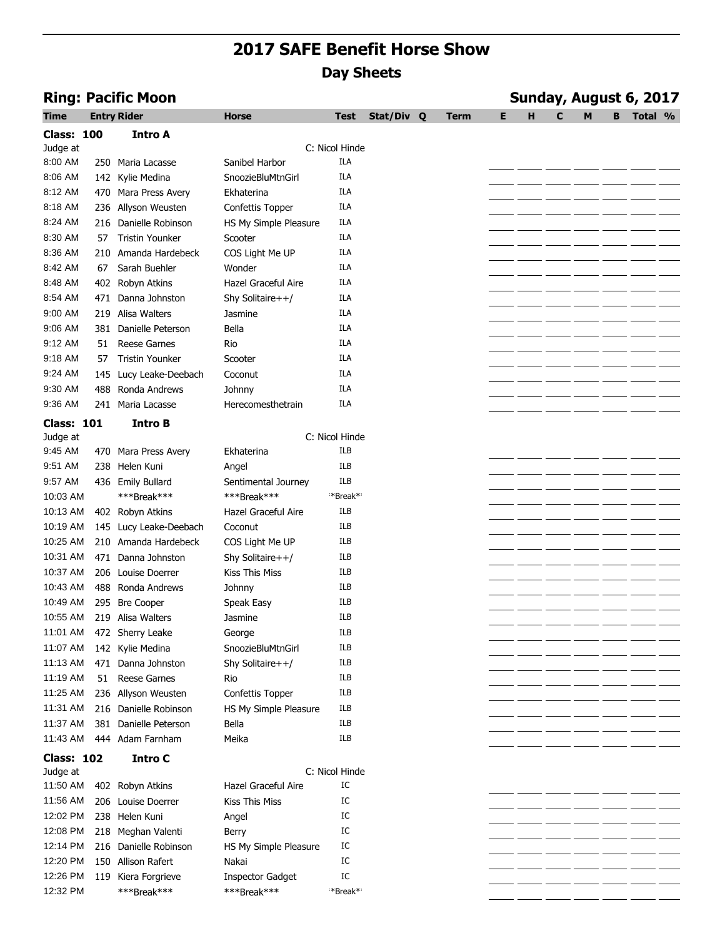| <b>Ring: Pacific Moon</b> |     |                        |                         |                |            |             | Sunday, August 6, 2017 |   |   |   |   |         |  |  |
|---------------------------|-----|------------------------|-------------------------|----------------|------------|-------------|------------------------|---|---|---|---|---------|--|--|
| Time                      |     | <b>Entry Rider</b>     | <b>Horse</b>            | Test           | Stat/Div Q | <b>Term</b> | E                      | н | C | M | в | Total % |  |  |
| <b>Class: 100</b>         |     | <b>Intro A</b>         |                         |                |            |             |                        |   |   |   |   |         |  |  |
| Judge at                  |     |                        |                         | C: Nicol Hinde |            |             |                        |   |   |   |   |         |  |  |
| 8:00 AM                   |     | 250 Maria Lacasse      | Sanibel Harbor          | <b>ILA</b>     |            |             |                        |   |   |   |   |         |  |  |
| 8:06 AM                   |     | 142 Kylie Medina       | SnoozieBluMtnGirl       | <b>ILA</b>     |            |             |                        |   |   |   |   |         |  |  |
| 8:12 AM                   |     | 470 Mara Press Avery   | Ekhaterina              | ILA            |            |             |                        |   |   |   |   |         |  |  |
| 8:18 AM                   |     | 236 Allyson Weusten    | Confettis Topper        | <b>ILA</b>     |            |             |                        |   |   |   |   |         |  |  |
| 8:24 AM                   |     | 216 Danielle Robinson  | HS My Simple Pleasure   | ILA            |            |             |                        |   |   |   |   |         |  |  |
| 8:30 AM                   | 57  | <b>Tristin Younker</b> | Scooter                 | <b>ILA</b>     |            |             |                        |   |   |   |   |         |  |  |
| 8:36 AM                   |     | 210 Amanda Hardebeck   | COS Light Me UP         | ILA            |            |             |                        |   |   |   |   |         |  |  |
| 8:42 AM                   | 67  | Sarah Buehler          | Wonder                  | <b>ILA</b>     |            |             |                        |   |   |   |   |         |  |  |
| 8:48 AM                   |     | 402 Robyn Atkins       | Hazel Graceful Aire     | <b>ILA</b>     |            |             |                        |   |   |   |   |         |  |  |
| 8:54 AM                   |     | 471 Danna Johnston     | Shy Solitaire++/        | <b>ILA</b>     |            |             |                        |   |   |   |   |         |  |  |
| 9:00 AM                   |     | 219 Alisa Walters      | Jasmine                 | ILA            |            |             |                        |   |   |   |   |         |  |  |
| 9:06 AM                   |     | 381 Danielle Peterson  | Bella                   | <b>ILA</b>     |            |             |                        |   |   |   |   |         |  |  |
| 9:12 AM                   | 51  | <b>Reese Garnes</b>    | Rio                     | <b>ILA</b>     |            |             |                        |   |   |   |   |         |  |  |
| 9:18 AM                   | 57  | <b>Tristin Younker</b> | Scooter                 | <b>ILA</b>     |            |             |                        |   |   |   |   |         |  |  |
| 9:24 AM                   |     | 145 Lucy Leake-Deebach | Coconut                 | ILA            |            |             |                        |   |   |   |   |         |  |  |
| 9:30 AM                   | 488 | Ronda Andrews          | Johnny                  | <b>ILA</b>     |            |             |                        |   |   |   |   |         |  |  |
| 9:36 AM                   |     | 241 Maria Lacasse      | Herecomesthetrain       | ILA            |            |             |                        |   |   |   |   |         |  |  |
| <b>Class: 101</b>         |     | <b>Intro B</b>         |                         |                |            |             |                        |   |   |   |   |         |  |  |
| Judge at                  |     |                        |                         | C: Nicol Hinde |            |             |                        |   |   |   |   |         |  |  |
| 9:45 AM                   |     | 470 Mara Press Avery   | Ekhaterina              | <b>ILB</b>     |            |             |                        |   |   |   |   |         |  |  |
| 9:51 AM                   | 238 | Helen Kuni             | Angel                   | <b>ILB</b>     |            |             |                        |   |   |   |   |         |  |  |
| 9:57 AM                   |     | 436 Emily Bullard      | Sentimental Journey     | ILB            |            |             |                        |   |   |   |   |         |  |  |
| 10:03 AM                  |     | ***Break***            | ***Break***             | **Break**      |            |             |                        |   |   |   |   |         |  |  |
| 10:13 AM                  |     | 402 Robyn Atkins       | Hazel Graceful Aire     | ILB            |            |             |                        |   |   |   |   |         |  |  |
| 10:19 AM                  |     | 145 Lucy Leake-Deebach | Coconut                 | <b>ILB</b>     |            |             |                        |   |   |   |   |         |  |  |
| 10:25 AM                  |     | 210 Amanda Hardebeck   | COS Light Me UP         | ILB            |            |             |                        |   |   |   |   |         |  |  |
| 10:31 AM                  |     | 471 Danna Johnston     | Shy Solitaire++/        | ILB            |            |             |                        |   |   |   |   |         |  |  |
| 10:37 AM                  |     | 206 Louise Doerrer     | Kiss This Miss          | ILB            |            |             |                        |   |   |   |   |         |  |  |
| 10:43 AM                  |     | 488 Ronda Andrews      | Johnny                  | <b>ILB</b>     |            |             |                        |   |   |   |   |         |  |  |
| 10:49 AM                  | 295 | <b>Bre Cooper</b>      | Speak Easy              | ILB            |            |             |                        |   |   |   |   |         |  |  |
| 10:55 AM                  |     | 219 Alisa Walters      | Jasmine                 | ILB            |            |             |                        |   |   |   |   |         |  |  |
| 11:01 AM                  |     | 472 Sherry Leake       | George                  | ILB            |            |             |                        |   |   |   |   |         |  |  |
| 11:07 AM                  |     | 142 Kylie Medina       | SnoozieBluMtnGirl       | <b>ILB</b>     |            |             |                        |   |   |   |   |         |  |  |
| 11:13 AM                  | 471 | Danna Johnston         | Shy Solitaire++/        | ILB            |            |             |                        |   |   |   |   |         |  |  |
| 11:19 AM                  | 51  | <b>Reese Garnes</b>    | Rio                     | ILB            |            |             |                        |   |   |   |   |         |  |  |
| 11:25 AM                  |     | 236 Allyson Weusten    | Confettis Topper        | ILB            |            |             |                        |   |   |   |   |         |  |  |
| 11:31 AM                  |     | 216 Danielle Robinson  | HS My Simple Pleasure   | ILB            |            |             |                        |   |   |   |   |         |  |  |
| 11:37 AM                  |     | 381 Danielle Peterson  | Bella                   | <b>ILB</b>     |            |             |                        |   |   |   |   |         |  |  |
| 11:43 AM                  |     | 444 Adam Farnham       | Meika                   | ILB            |            |             |                        |   |   |   |   |         |  |  |
| <b>Class: 102</b>         |     | <b>Intro C</b>         |                         |                |            |             |                        |   |   |   |   |         |  |  |
| Judge at                  |     |                        |                         | C: Nicol Hinde |            |             |                        |   |   |   |   |         |  |  |
| 11:50 AM                  |     | 402 Robyn Atkins       | Hazel Graceful Aire     | IC             |            |             |                        |   |   |   |   |         |  |  |
| 11:56 AM                  |     | 206 Louise Doerrer     | <b>Kiss This Miss</b>   | IC             |            |             |                        |   |   |   |   |         |  |  |
| 12:02 PM                  |     | 238 Helen Kuni         | Angel                   | IC             |            |             |                        |   |   |   |   |         |  |  |
| 12:08 PM                  |     | 218 Meghan Valenti     | Berry                   | IC             |            |             |                        |   |   |   |   |         |  |  |
| 12:14 PM                  |     | 216 Danielle Robinson  | HS My Simple Pleasure   | IC             |            |             |                        |   |   |   |   |         |  |  |
| 12:20 PM                  |     | 150 Allison Rafert     | Nakai                   | IC             |            |             |                        |   |   |   |   |         |  |  |
| 12:26 PM                  | 119 | Kiera Forgrieve        | <b>Inspector Gadget</b> | IC             |            |             |                        |   |   |   |   |         |  |  |
| 12:32 PM                  |     | ***Break***            | ***Break***             | *Break*        |            |             |                        |   |   |   |   |         |  |  |
|                           |     |                        |                         |                |            |             |                        |   |   |   |   |         |  |  |